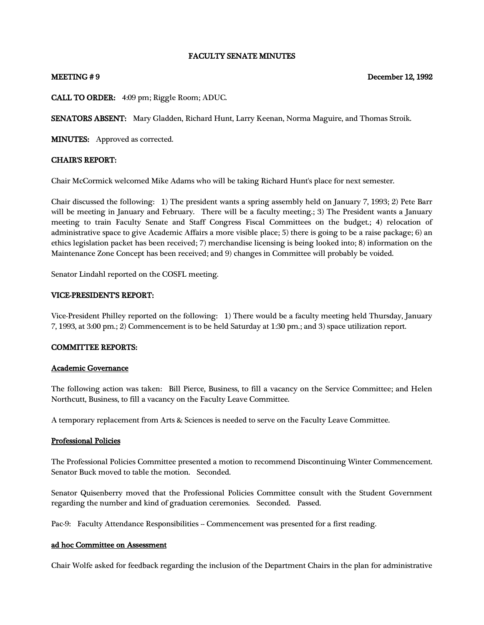## FACULTY SENATE MINUTES

## MEETING #9 December 12, 1992

CALL TO ORDER: 4:09 pm; Riggle Room; ADUC.

SENATORS ABSENT: Mary Gladden, Richard Hunt, Larry Keenan, Norma Maguire, and Thomas Stroik.

MINUTES: Approved as corrected.

## CHAIR'S REPORT:

Chair McCormick welcomed Mike Adams who will be taking Richard Hunt's place for next semester.

Chair discussed the following: 1) The president wants a spring assembly held on January 7, 1993; 2) Pete Barr will be meeting in January and February. There will be a faculty meeting.; 3) The President wants a January meeting to train Faculty Senate and Staff Congress Fiscal Committees on the budget.; 4) relocation of administrative space to give Academic Affairs a more visible place; 5) there is going to be a raise package; 6) an ethics legislation packet has been received; 7) merchandise licensing is being looked into; 8) information on the Maintenance Zone Concept has been received; and 9) changes in Committee will probably be voided.

Senator Lindahl reported on the COSFL meeting.

## VICE-PRESIDENT'S REPORT:

Vice-President Philley reported on the following: 1) There would be a faculty meeting held Thursday, January 7, 1993, at 3:00 pm.; 2) Commencement is to be held Saturday at 1:30 pm.; and 3) space utilization report.

## COMMITTEE REPORTS:

### Academic Governance

The following action was taken: Bill Pierce, Business, to fill a vacancy on the Service Committee; and Helen Northcutt, Business, to fill a vacancy on the Faculty Leave Committee.

A temporary replacement from Arts & Sciences is needed to serve on the Faculty Leave Committee.

## Professional Policies

The Professional Policies Committee presented a motion to recommend Discontinuing Winter Commencement. Senator Buck moved to table the motion. Seconded.

Senator Quisenberry moved that the Professional Policies Committee consult with the Student Government regarding the number and kind of graduation ceremonies. Seconded. Passed.

Pac-9: Faculty Attendance Responsibilities -- Commencement was presented for a first reading.

### ad hoc Committee on Assessment

Chair Wolfe asked for feedback regarding the inclusion of the Department Chairs in the plan for administrative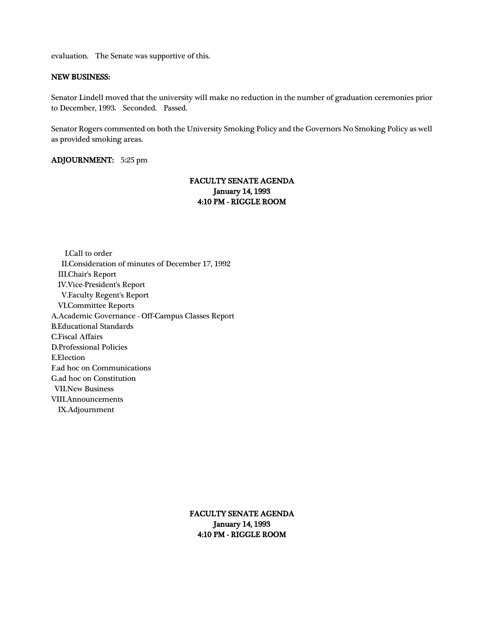evaluation. The Senate was supportive of this.

#### NEW BUSINESS:

Senator Lindell moved that the university will make no reduction in the number of graduation ceremonies prior to December, 1993. Seconded. Passed.

Senator Rogers commented on both the University Smoking Policy and the Governors No Smoking Policy as well as provided smoking areas.

## ADJOURNMENT: 5:25 pm

# FACULTY SENATE AGENDA January 14, 1993 4:10 PM - RIGGLE ROOM

 I.Call to order II.Consideration of minutes of December 17, 1992 III.Chair's Report IV.Vice-President's Report V.Faculty Regent's Report VI.Committee Reports A.Academic Governance - Off-Campus Classes Report B.Educational Standards C.Fiscal Affairs D.Professional Policies E.Election F.ad hoc on Communications G.ad hoc on Constitution VII.New Business VIII.Announcements IX.Adjournment

> FACULTY SENATE AGENDA January 14, 1993 4:10 PM - RIGGLE ROOM